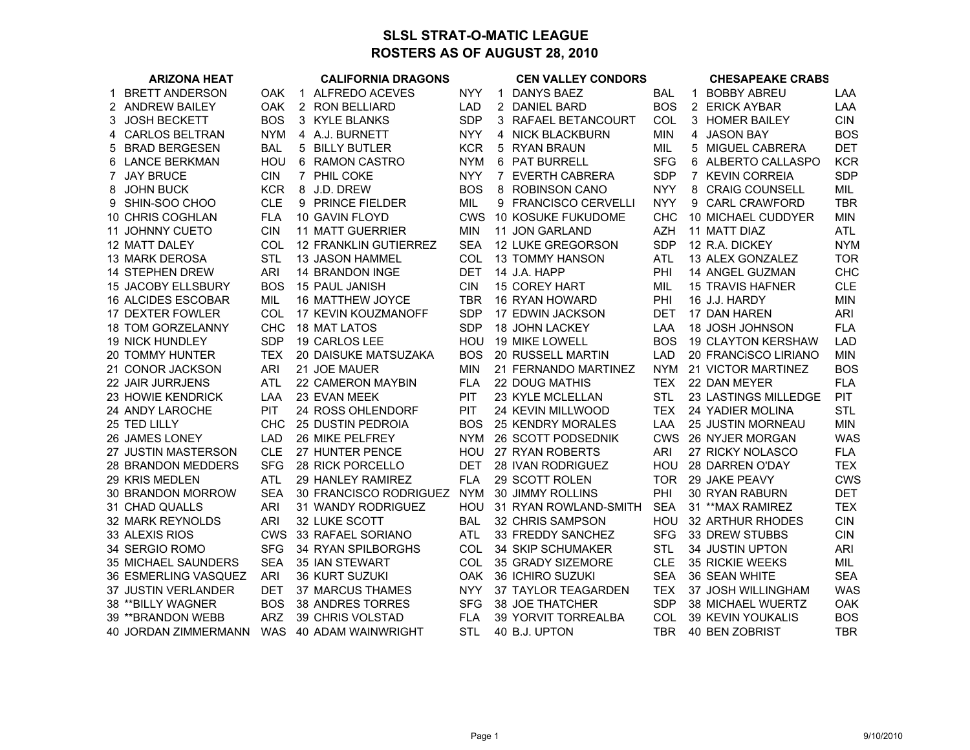## **SLSL STRAT-O-MATIC LEAGUEROSTERS AS OF AUGUST 28, 2010**

|             | <b>ARIZONA HEAT</b>        |            |              | <b>CALIFORNIA DRAGONS</b> |            |   | <b>CEN VALLEY CONDORS</b>  |            |   | <b>CHESAPEAKE CRABS</b>     |            |
|-------------|----------------------------|------------|--------------|---------------------------|------------|---|----------------------------|------------|---|-----------------------------|------------|
| $\mathbf 1$ | <b>BRETT ANDERSON</b>      | <b>OAK</b> | $\mathbf{1}$ | ALFREDO ACEVES            | <b>NYY</b> |   | 1 DANYS BAEZ               | <b>BAL</b> |   | 1 BOBBY ABREU               | LAA        |
|             | 2 ANDREW BAILEY            | OAK        |              | 2 RON BELLIARD            | <b>LAD</b> |   | 2 DANIEL BARD              | <b>BOS</b> |   | 2 ERICK AYBAR               | LAA        |
|             | 3 JOSH BECKETT             | <b>BOS</b> |              | 3 KYLE BLANKS             | <b>SDP</b> |   | 3 RAFAEL BETANCOURT        | COL        |   | 3 HOMER BAILEY              | <b>CIN</b> |
| 4           | <b>CARLOS BELTRAN</b>      | <b>NYM</b> | 4            | A.J. BURNETT              | <b>NYY</b> |   | 4 NICK BLACKBURN           | <b>MIN</b> | 4 | <b>JASON BAY</b>            | <b>BOS</b> |
| 5           | <b>BRAD BERGESEN</b>       | <b>BAL</b> | 5            | <b>BILLY BUTLER</b>       | <b>KCR</b> | 5 | <b>RYAN BRAUN</b>          | MIL        | 5 | MIGUEL CABRERA              | <b>DET</b> |
| 6           | <b>LANCE BERKMAN</b>       | HOU        | 6            | <b>RAMON CASTRO</b>       | <b>NYM</b> |   | 6 PAT BURRELL              | <b>SFG</b> |   | 6 ALBERTO CALLASPO          | <b>KCR</b> |
|             | 7 JAY BRUCE                | <b>CIN</b> |              | 7 PHIL COKE               | <b>NYY</b> |   | 7 EVERTH CABRERA           | <b>SDP</b> |   | 7 KEVIN CORREIA             | <b>SDP</b> |
| 8           | <b>JOHN BUCK</b>           | <b>KCR</b> |              | 8 J.D. DREW               | <b>BOS</b> |   | 8 ROBINSON CANO            | <b>NYY</b> |   | 8 CRAIG COUNSELL            | MIL        |
|             | 9 SHIN-SOO CHOO            | <b>CLE</b> |              | 9 PRINCE FIELDER          | MIL        |   | 9 FRANCISCO CERVELLI       | <b>NYY</b> |   | 9 CARL CRAWFORD             | <b>TBR</b> |
|             | 10 CHRIS COGHLAN           | <b>FLA</b> |              | 10 GAVIN FLOYD            | <b>CWS</b> |   | <b>10 KOSUKE FUKUDOME</b>  | <b>CHC</b> |   | 10 MICHAEL CUDDYER          | <b>MIN</b> |
|             | 11 JOHNNY CUETO            | <b>CIN</b> |              | <b>11 MATT GUERRIER</b>   | <b>MIN</b> |   | 11 JON GARLAND             | <b>AZH</b> |   | 11 MATT DIAZ                | <b>ATL</b> |
|             | 12 MATT DALEY              | COL        |              | 12 FRANKLIN GUTIERREZ     | <b>SEA</b> |   | 12 LUKE GREGORSON          | <b>SDP</b> |   | 12 R.A. DICKEY              | <b>NYM</b> |
|             | 13 MARK DEROSA             | STL        |              | 13 JASON HAMMEL           | COL        |   | <b>13 TOMMY HANSON</b>     | <b>ATL</b> |   | 13 ALEX GONZALEZ            | <b>TOR</b> |
|             | 14 STEPHEN DREW            | <b>ARI</b> |              | 14 BRANDON INGE           | <b>DET</b> |   | 14 J.A. HAPP               | PHI        |   | 14 ANGEL GUZMAN             | <b>CHC</b> |
|             | <b>15 JACOBY ELLSBURY</b>  | <b>BOS</b> |              | 15 PAUL JANISH            | <b>CIN</b> |   | 15 COREY HART              | <b>MIL</b> |   | <b>15 TRAVIS HAFNER</b>     | <b>CLE</b> |
|             | 16 ALCIDES ESCOBAR         | MIL        |              | 16 MATTHEW JOYCE          | <b>TBR</b> |   | 16 RYAN HOWARD             | PHI        |   | 16 J.J. HARDY               | <b>MIN</b> |
|             | 17 DEXTER FOWLER           | COL        |              | 17 KEVIN KOUZMANOFF       | <b>SDP</b> |   | 17 EDWIN JACKSON           | <b>DET</b> |   | 17 DAN HAREN                | <b>ARI</b> |
|             | <b>18 TOM GORZELANNY</b>   | <b>CHC</b> |              | <b>18 MAT LATOS</b>       | <b>SDP</b> |   | <b>18 JOHN LACKEY</b>      | LAA        |   | <b>18 JOSH JOHNSON</b>      | <b>FLA</b> |
|             | <b>19 NICK HUNDLEY</b>     | <b>SDP</b> |              | 19 CARLOS LEE             | HOU        |   | 19 MIKE LOWELL             | <b>BOS</b> |   | <b>19 CLAYTON KERSHAW</b>   | <b>LAD</b> |
|             | 20 TOMMY HUNTER            | <b>TEX</b> |              | 20 DAISUKE MATSUZAKA      | <b>BOS</b> |   | 20 RUSSELL MARTIN          | LAD        |   | 20 FRANCISCO LIRIANO        | <b>MIN</b> |
|             | 21 CONOR JACKSON           | <b>ARI</b> |              | 21 JOE MAUER              | <b>MIN</b> |   | 21 FERNANDO MARTINEZ       | <b>NYM</b> |   | 21 VICTOR MARTINEZ          | <b>BOS</b> |
|             | 22 JAIR JURRJENS           | <b>ATL</b> |              | 22 CAMERON MAYBIN         | <b>FLA</b> |   | <b>22 DOUG MATHIS</b>      | <b>TEX</b> |   | 22 DAN MEYER                | <b>FLA</b> |
|             | 23 HOWIE KENDRICK          | LAA        |              | 23 EVAN MEEK              | PIT        |   | 23 KYLE MCLELLAN           | <b>STL</b> |   | <b>23 LASTINGS MILLEDGE</b> | <b>PIT</b> |
|             | 24 ANDY LAROCHE            | PIT        |              | 24 ROSS OHLENDORF         | PIT        |   | 24 KEVIN MILLWOOD          | <b>TEX</b> |   | 24 YADIER MOLINA            | <b>STL</b> |
|             | 25 TED LILLY               | CHC        |              | 25 DUSTIN PEDROIA         | <b>BOS</b> |   | <b>25 KENDRY MORALES</b>   | LAA        |   | 25 JUSTIN MORNEAU           | <b>MIN</b> |
|             | 26 JAMES LONEY             | <b>LAD</b> |              | 26 MIKE PELFREY           | <b>NYM</b> |   | 26 SCOTT PODSEDNIK         | <b>CWS</b> |   | 26 NYJER MORGAN             | <b>WAS</b> |
|             | 27 JUSTIN MASTERSON        | <b>CLE</b> |              | 27 HUNTER PENCE           | HOU        |   | 27 RYAN ROBERTS            | <b>ARI</b> |   | 27 RICKY NOLASCO            | <b>FLA</b> |
|             | <b>28 BRANDON MEDDERS</b>  | <b>SFG</b> |              | 28 RICK PORCELLO          | <b>DET</b> |   | <b>28 IVAN RODRIGUEZ</b>   | HOU        |   | <b>28 DARREN O'DAY</b>      | <b>TEX</b> |
|             | 29 KRIS MEDLEN             | <b>ATL</b> |              | 29 HANLEY RAMIREZ         | <b>FLA</b> |   | 29 SCOTT ROLEN             | <b>TOR</b> |   | 29 JAKE PEAVY               | <b>CWS</b> |
|             | 30 BRANDON MORROW          | <b>SEA</b> |              | 30 FRANCISCO RODRIGUEZ    | <b>NYM</b> |   | <b>30 JIMMY ROLLINS</b>    | PHI        |   | 30 RYAN RABURN              | <b>DET</b> |
|             | 31 CHAD QUALLS             | <b>ARI</b> |              | 31 WANDY RODRIGUEZ        | HOU        |   | 31 RYAN ROWLAND-SMITH      | <b>SEA</b> |   | 31 ** MAX RAMIREZ           | <b>TEX</b> |
|             | 32 MARK REYNOLDS           | <b>ARI</b> |              | 32 LUKE SCOTT             | <b>BAL</b> |   | 32 CHRIS SAMPSON           | HOU        |   | 32 ARTHUR RHODES            | <b>CIN</b> |
|             | 33 ALEXIS RIOS             | <b>CWS</b> |              | 33 RAFAEL SORIANO         | <b>ATL</b> |   | 33 FREDDY SANCHEZ          | <b>SFG</b> |   | <b>33 DREW STUBBS</b>       | <b>CIN</b> |
|             | 34 SERGIO ROMO             | <b>SFG</b> |              | 34 RYAN SPILBORGHS        | COL        |   | 34 SKIP SCHUMAKER          | <b>STL</b> |   | 34 JUSTIN UPTON             | <b>ARI</b> |
|             | <b>35 MICHAEL SAUNDERS</b> | <b>SEA</b> |              | 35 IAN STEWART            | COL        |   | 35 GRADY SIZEMORE          | <b>CLE</b> |   | 35 RICKIE WEEKS             | MIL        |
|             | 36 ESMERLING VASQUEZ       | <b>ARI</b> |              | 36 KURT SUZUKI            | <b>OAK</b> |   | 36 ICHIRO SUZUKI           | <b>SEA</b> |   | 36 SEAN WHITE               | <b>SEA</b> |
|             | 37 JUSTIN VERLANDER        | <b>DET</b> |              | 37 MARCUS THAMES          | <b>NYY</b> |   | 37 TAYLOR TEAGARDEN        | <b>TEX</b> |   | 37 JOSH WILLINGHAM          | <b>WAS</b> |
|             | 38 ** BILLY WAGNER         | <b>BOS</b> |              | <b>38 ANDRES TORRES</b>   | <b>SFG</b> |   | 38 JOE THATCHER            | <b>SDP</b> |   | 38 MICHAEL WUERTZ           | <b>OAK</b> |
|             | 39 ** BRANDON WEBB         | <b>ARZ</b> |              | 39 CHRIS VOLSTAD          | <b>FLA</b> |   | <b>39 YORVIT TORREALBA</b> | COL        |   | 39 KEVIN YOUKALIS           | <b>BOS</b> |
|             | 40 JORDAN ZIMMERMANN       | <b>WAS</b> |              | 40 ADAM WAINWRIGHT        | <b>STL</b> |   | 40 B.J. UPTON              | TBR        |   | 40 BEN ZOBRIST              | <b>TBR</b> |
|             |                            |            |              |                           |            |   |                            |            |   |                             |            |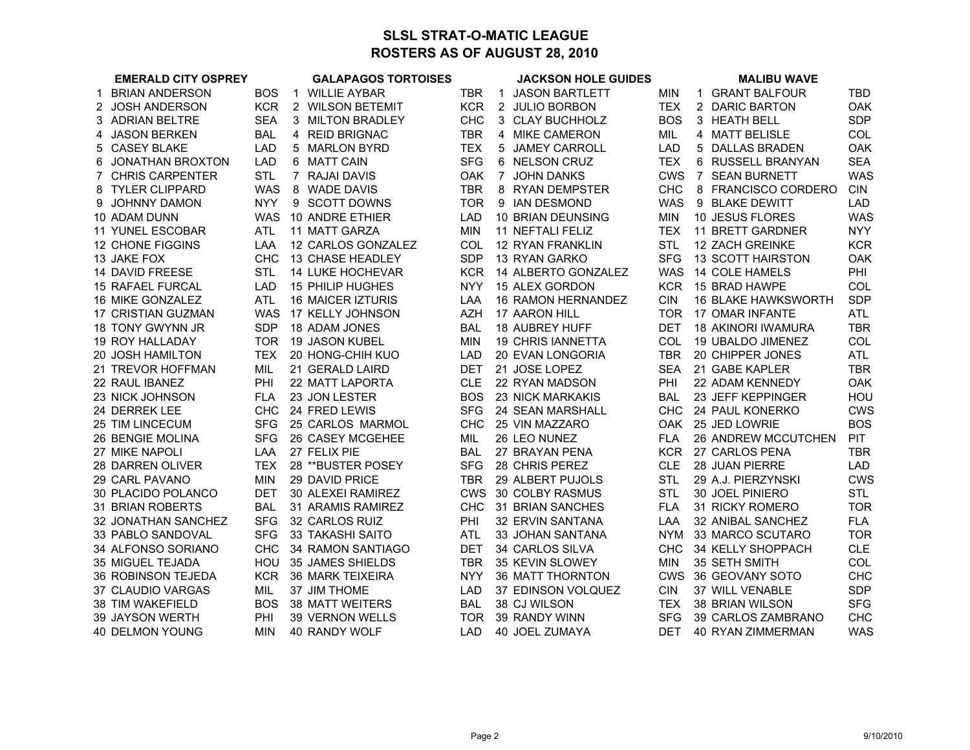## **SLSL STRAT-O-MATIC LEAGUEROSTERS AS OF AUGUST 28, 2010**

|             | <b>EMERALD CITY OSPREY</b> |            |   | <b>GALAPAGOS TORTOISES</b> |            |   | <b>JACKSON HOLE GUIDES</b> |            | <b>MALIBU WAVE</b>         |            |
|-------------|----------------------------|------------|---|----------------------------|------------|---|----------------------------|------------|----------------------------|------------|
| $\mathbf 1$ | <b>BRIAN ANDERSON</b>      | <b>BOS</b> | 1 | <b>WILLIE AYBAR</b>        | <b>TBR</b> | 1 | <b>JASON BARTLETT</b>      | <b>MIN</b> | <b>GRANT BALFOUR</b><br>1  | TBD        |
|             | 2 JOSH ANDERSON            | <b>KCR</b> |   | 2 WILSON BETEMIT           | <b>KCR</b> |   | 2 JULIO BORBON             | <b>TEX</b> | 2 DARIC BARTON             | <b>OAK</b> |
|             | 3 ADRIAN BELTRE            | <b>SEA</b> |   | 3 MILTON BRADLEY           | <b>CHC</b> |   | 3 CLAY BUCHHOLZ            | <b>BOS</b> | 3 HEATH BELL               | <b>SDP</b> |
| 4           | <b>JASON BERKEN</b>        | <b>BAL</b> |   | 4 REID BRIGNAC             | <b>TBR</b> |   | 4 MIKE CAMERON             | MIL        | 4 MATT BELISLE             | COL        |
| 5           | <b>CASEY BLAKE</b>         | <b>LAD</b> |   | 5 MARLON BYRD              | <b>TEX</b> |   | 5 JAMEY CARROLL            | <b>LAD</b> | <b>DALLAS BRADEN</b><br>5  | <b>OAK</b> |
| 6           | JONATHAN BROXTON           | <b>LAD</b> |   | 6 MATT CAIN                | <b>SFG</b> |   | 6 NELSON CRUZ              | <b>TEX</b> | RUSSELL BRANYAN<br>6       | <b>SEA</b> |
|             | 7 CHRIS CARPENTER          | <b>STL</b> |   | 7 RAJAI DAVIS              | <b>OAK</b> |   | 7 JOHN DANKS               | <b>CWS</b> | 7 SEAN BURNETT             | <b>WAS</b> |
|             | 8 TYLER CLIPPARD           | <b>WAS</b> |   | 8 WADE DAVIS               | <b>TBR</b> |   | 8 RYAN DEMPSTER            | <b>CHC</b> | 8 FRANCISCO CORDERO        | <b>CIN</b> |
|             | 9 JOHNNY DAMON             | <b>NYY</b> |   | 9 SCOTT DOWNS              | <b>TOR</b> |   | 9 IAN DESMOND              | <b>WAS</b> | 9<br><b>BLAKE DEWITT</b>   | <b>LAD</b> |
|             | 10 ADAM DUNN               | <b>WAS</b> |   | 10 ANDRE ETHIER            | <b>LAD</b> |   | 10 BRIAN DEUNSING          | <b>MIN</b> | 10 JESUS FLORES            | <b>WAS</b> |
|             | <b>11 YUNEL ESCOBAR</b>    | <b>ATL</b> |   | 11 MATT GARZA              | <b>MIN</b> |   | 11 NEFTALI FELIZ           | <b>TEX</b> | 11 BRETT GARDNER           | <b>NYY</b> |
|             | 12 CHONE FIGGINS           | LAA        |   | 12 CARLOS GONZALEZ         | COL        |   | 12 RYAN FRANKLIN           | <b>STL</b> | 12 ZACH GREINKE            | <b>KCR</b> |
|             | 13 JAKE FOX                | <b>CHC</b> |   | 13 CHASE HEADLEY           | <b>SDP</b> |   | 13 RYAN GARKO              | SFG        | 13 SCOTT HAIRSTON          | <b>OAK</b> |
|             | 14 DAVID FREESE            | <b>STL</b> |   | <b>14 LUKE HOCHEVAR</b>    | <b>KCR</b> |   | 14 ALBERTO GONZALEZ        | <b>WAS</b> | <b>14 COLE HAMELS</b>      | PHI        |
|             | <b>15 RAFAEL FURCAL</b>    | <b>LAD</b> |   | <b>15 PHILIP HUGHES</b>    | <b>NYY</b> |   | 15 ALEX GORDON             | <b>KCR</b> | 15 BRAD HAWPE              | COL        |
|             | 16 MIKE GONZALEZ           | ATL        |   | <b>16 MAICER IZTURIS</b>   | LAA        |   | 16 RAMON HERNANDEZ         | <b>CIN</b> | <b>16 BLAKE HAWKSWORTH</b> | <b>SDP</b> |
|             | 17 CRISTIAN GUZMAN         | <b>WAS</b> |   | 17 KELLY JOHNSON           | <b>AZH</b> |   | 17 AARON HILL              | <b>TOR</b> | 17 OMAR INFANTE            | <b>ATL</b> |
|             | 18 TONY GWYNN JR           | <b>SDP</b> |   | 18 ADAM JONES              | <b>BAL</b> |   | <b>18 AUBREY HUFF</b>      | DET        | <b>18 AKINORI IWAMURA</b>  | <b>TBR</b> |
|             | <b>19 ROY HALLADAY</b>     | <b>TOR</b> |   | 19 JASON KUBEL             | <b>MIN</b> |   | <b>19 CHRIS IANNETTA</b>   | COL        | 19 UBALDO JIMENEZ          | COL        |
|             | 20 JOSH HAMILTON           | <b>TEX</b> |   | 20 HONG-CHIH KUO           | <b>LAD</b> |   | 20 EVAN LONGORIA           | <b>TBR</b> | 20 CHIPPER JONES           | <b>ATL</b> |
|             | 21 TREVOR HOFFMAN          | MIL        |   | 21 GERALD LAIRD            | <b>DET</b> |   | 21 JOSE LOPEZ              | <b>SEA</b> | 21 GABE KAPLER             | <b>TBR</b> |
|             | 22 RAUL IBANEZ             | PHI        |   | 22 MATT LAPORTA            | <b>CLE</b> |   | 22 RYAN MADSON             | PHI        | 22 ADAM KENNEDY            | <b>OAK</b> |
|             | 23 NICK JOHNSON            | <b>FLA</b> |   | 23 JON LESTER              | <b>BOS</b> |   | 23 NICK MARKAKIS           | <b>BAL</b> | 23 JEFF KEPPINGER          | HOU        |
|             | 24 DERREK LEE              | <b>CHC</b> |   | 24 FRED LEWIS              | <b>SFG</b> |   | 24 SEAN MARSHALL           | <b>CHC</b> | 24 PAUL KONERKO            | <b>CWS</b> |
|             | 25 TIM LINCECUM            | <b>SFG</b> |   | 25 CARLOS MARMOL           | <b>CHC</b> |   | 25 VIN MAZZARO             | OAK        | 25 JED LOWRIE              | <b>BOS</b> |
|             | 26 BENGIE MOLINA           | <b>SFG</b> |   | 26 CASEY MCGEHEE           | MIL        |   | 26 LEO NUNEZ               | <b>FLA</b> | 26 ANDREW MCCUTCHEN        | <b>PIT</b> |
|             | 27 MIKE NAPOLI             | LAA        |   | 27 FELIX PIE               | <b>BAL</b> |   | 27 BRAYAN PENA             | <b>KCR</b> | 27 CARLOS PENA             | <b>TBR</b> |
|             | 28 DARREN OLIVER           | <b>TEX</b> |   | 28 ** BUSTER POSEY         | <b>SFG</b> |   | 28 CHRIS PEREZ             | <b>CLE</b> | 28 JUAN PIERRE             | LAD        |
|             | 29 CARL PAVANO             | <b>MIN</b> |   | 29 DAVID PRICE             | <b>TBR</b> |   | 29 ALBERT PUJOLS           | <b>STL</b> | 29 A.J. PIERZYNSKI         | <b>CWS</b> |
|             | 30 PLACIDO POLANCO         | <b>DET</b> |   | 30 ALEXEI RAMIREZ          | <b>CWS</b> |   | 30 COLBY RASMUS            | <b>STL</b> | 30 JOEL PINIERO            | <b>STL</b> |
|             | 31 BRIAN ROBERTS           | <b>BAL</b> |   | 31 ARAMIS RAMIREZ          | <b>CHC</b> |   | 31 BRIAN SANCHES           | <b>FLA</b> | 31 RICKY ROMERO            | <b>TOR</b> |
|             | 32 JONATHAN SANCHEZ        | <b>SFG</b> |   | 32 CARLOS RUIZ             | PHI        |   | 32 ERVIN SANTANA           | LAA        | 32 ANIBAL SANCHEZ          | <b>FLA</b> |
|             | 33 PABLO SANDOVAL          | <b>SFG</b> |   | 33 TAKASHI SAITO           | <b>ATL</b> |   | 33 JOHAN SANTANA           | <b>NYM</b> | 33 MARCO SCUTARO           | <b>TOR</b> |
|             | 34 ALFONSO SORIANO         | <b>CHC</b> |   | 34 RAMON SANTIAGO          | <b>DET</b> |   | 34 CARLOS SILVA            | <b>CHC</b> | 34 KELLY SHOPPACH          | <b>CLE</b> |
|             | 35 MIGUEL TEJADA           | HOU        |   | 35 JAMES SHIELDS           | <b>TBR</b> |   | 35 KEVIN SLOWEY            | <b>MIN</b> | 35 SETH SMITH              | COL        |
|             | <b>36 ROBINSON TEJEDA</b>  | <b>KCR</b> |   | 36 MARK TEIXEIRA           | <b>NYY</b> |   | <b>36 MATT THORNTON</b>    | <b>CWS</b> | 36 GEOVANY SOTO            | <b>CHC</b> |
|             | 37 CLAUDIO VARGAS          | MIL        |   | 37 JIM THOME               | <b>LAD</b> |   | 37 EDINSON VOLQUEZ         | <b>CIN</b> | 37 WILL VENABLE            | <b>SDP</b> |
|             | 38 TIM WAKEFIELD           | <b>BOS</b> |   | <b>38 MATT WEITERS</b>     | <b>BAL</b> |   | 38 CJ WILSON               | <b>TEX</b> | 38 BRIAN WILSON            | <b>SFG</b> |
|             | 39 JAYSON WERTH            | PHI        |   | 39 VERNON WELLS            | <b>TOR</b> |   | 39 RANDY WINN              | <b>SFG</b> | 39 CARLOS ZAMBRANO         | <b>CHC</b> |
|             | 40 DELMON YOUNG            | MIN        |   | 40 RANDY WOLF              | <b>LAD</b> |   | 40 JOEL ZUMAYA             | DET        | 40 RYAN ZIMMERMAN          | <b>WAS</b> |
|             |                            |            |   |                            |            |   |                            |            |                            |            |